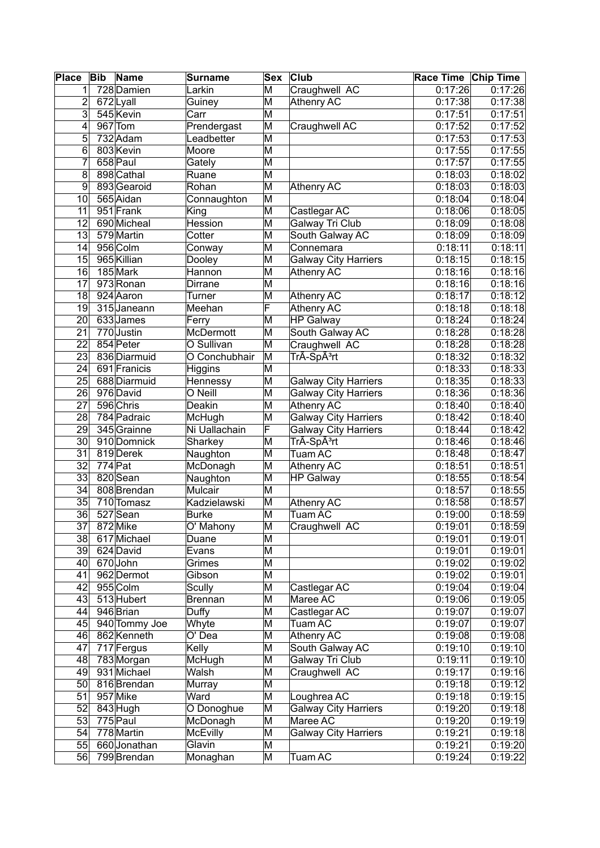| <b>Place</b>    | <b>Bib</b> | <b>Name</b>   | Surname             | Sex                     | <b>Club</b>                 | Race Time Chip Time  |         |
|-----------------|------------|---------------|---------------------|-------------------------|-----------------------------|----------------------|---------|
| 1               |            | 728 Damien    | Larkin              | M                       | Craughwell AC               | 0:17:26              | 0:17:26 |
| $\overline{2}$  |            | 672Lyall      | Guiney              | M                       | Athenry AC                  | 0:17:38              | 0:17:38 |
| 3               |            | 545 Kevin     | Carr                | M                       |                             | 0:17:51              | 0:17:51 |
| 4               |            | 967 Tom       | Prendergast         | M                       | Craughwell AC               | 0:17:52              | 0:17:52 |
| 5               |            | 732 Adam      | Leadbetter          | M                       |                             | 0:17:53              | 0:17:53 |
| 6               |            | 803 Kevin     | Moore               | M                       |                             | 0:17:55              | 0:17:55 |
| 7               |            | 658 Paul      | Gately              | M                       |                             | 0:17:57              | 0:17:55 |
| 8               |            | 898 Cathal    | Ruane               | M                       |                             | 0:18:03              | 0:18:02 |
| $\overline{9}$  |            | 893 Gearoid   | Rohan               | M                       | Athenry AC                  | 0:18:03              | 0:18:03 |
| 10              |            | 565 Aidan     | Connaughton         | M                       |                             | 0:18:04              | 0:18:04 |
| 11              |            | 951 Frank     | King                | M                       | Castlegar AC                | 0:18:06              | 0:18:05 |
| 12              |            | 690 Micheal   | Hession             | M                       | Galway Tri Club             | 0:18:09              | 0:18:08 |
| 13              |            | 579 Martin    | Cotter              | M                       | South Galway AC             | 0:18:09              | 0:18:09 |
| 14              |            | 956 Colm      | Conway              | M                       | Connemara                   | 0:18:11              | 0:18:11 |
| 15              |            | 965 Killian   | Dooley              | M                       | <b>Galway City Harriers</b> | 0:18:15              | 0:18:15 |
| 16              |            | 185 Mark      | Hannon              | M                       | Athenry AC                  | 0:18:16              | 0:18:16 |
| 17              |            | 973 Ronan     | Dirrane             | M                       |                             | 0:18:16              | 0:18:16 |
| 18              |            | 924 Aaron     | Turner              | M                       | Athenry AC                  | 0:18:17              | 0:18:12 |
| 19              |            | 315 Janeann   | Meehan              | F                       | <b>Athenry AC</b>           | 0:18:18              | 0:18:18 |
| 20              |            | 633 James     |                     | M                       | <b>HP Galway</b>            | 0:18:24              | 0:18:24 |
|                 |            |               | Ferry               |                         |                             |                      | 0:18:28 |
| 21              |            | 770 Justin    | McDermott           | M                       | South Galway AC             | 0:18:28              |         |
| 22              |            | 854 Peter     | O Sullivan          | M                       | Craughwell AC               | 0:18:28              | 0:18:28 |
| 23              |            | 836 Diarmuid  | O Conchubhair       | M                       | TrÃ-Spêrt                   | 0:18:32              | 0:18:32 |
| 24              |            | 691 Franicis  | Higgins             | M                       |                             | 0:18:33              | 0:18:33 |
| 25              |            | 688 Diarmuid  | <b>Hennessy</b>     | M                       | <b>Galway City Harriers</b> | 0:18:35              | 0:18:33 |
| 26              |            | 976 David     | O Neill             | M                       | <b>Galway City Harriers</b> | 0:18:36              | 0:18:36 |
| 27              |            | 596 Chris     | Deakin              | M                       | Athenry AC                  | 0:18:40              | 0:18:40 |
| 28              |            | 784 Padraic   | McHugh              | M                       | <b>Galway City Harriers</b> | 0:18:42              | 0:18:40 |
| 29              |            | 345 Grainne   | Ni Uallachain       | F                       | <b>Galway City Harriers</b> | 0:18:44              | 0:18:42 |
| 30              |            | 910 Domnick   | Sharkey             | M                       | TrÃ-Spêrt                   | 0:18:46              | 0:18:46 |
| $\overline{31}$ |            | 819 Derek     | Naughton            | M                       | Tuam AC                     | 0:18:48              | 0:18:47 |
| 32              | $774$ Pat  |               | McDonagh            | M                       | Athenry AC                  | 0:18:51              | 0:18:51 |
| 33              |            | 820 Sean      | Naughton            | M                       | <b>HP Galway</b>            | 0:18:55              | 0:18:54 |
| 34              |            | 808 Brendan   | Mulcair             | M                       |                             | 0:18:57              | 0:18:55 |
| 35              |            | 710 Tomasz    | <b>Kadzielawski</b> | M                       | <b>Athenry AC</b>           | 0:18:58              | 0:18:57 |
| 36              |            | 527 Sean      | <b>Burke</b>        | M                       | Tuam AC                     | 0:19:00              | 0:18:59 |
| 37              |            | 872 Mike      | O' Mahony           | M                       | Craughwell AC               | 0:19:01              | 0:18:59 |
| 38              |            | 617 Michael   | Duane               | M                       |                             | 0:19:01              | 0:19:01 |
| 39              |            | 624 David     | Evans               | M                       |                             | 0:19:01              | 0:19:01 |
| 40              |            | 670 John      | Grimes              | M                       |                             | 0:19:02              | 0:19:02 |
| 41              |            | 962 Dermot    | Gibson              | M                       |                             | 0:19:02              | 0:19:01 |
| 42              |            | 955 Colm      | Scully              | M                       | Castlegar AC                | 0:19:04              | 0:19:04 |
| 43              |            | 513 Hubert    | <b>Brennan</b>      | M                       | Maree AC                    | 0:19:06              | 0:19:05 |
| 44              |            | 946 Brian     | Duffy               | M                       | Castlegar AC                | 0:19:07              | 0:19:07 |
| 45              |            | 940 Tommy Joe | Whyte               | M                       | Tuam AC                     | 0:19:07              | 0:19:07 |
| 46              |            | 862 Kenneth   | O' Dea              | M                       | <b>Athenry AC</b>           | 0:19:08              | 0:19:08 |
| 47              |            | 717 Fergus    | Kelly               | M                       | South Galway AC             | $\overline{0:19:10}$ | 0:19:10 |
| 48              |            | 783 Morgan    | McHugh              | M                       | Galway Tri Club             | 0:19:11              | 0:19:10 |
| 49              |            | 931 Michael   | Walsh               | M                       | Craughwell AC               | 0:19:17              | 0:19:16 |
| 50              |            | 816 Brendan   | Murray              | M                       |                             | 0:19:18              | 0:19:12 |
| 51              |            | 957 Mike      | Ward                | $\overline{\mathsf{M}}$ | Loughrea AC                 | 0:19:18              | 0:19:15 |
| 52              |            | 843 Hugh      | O Donoghue          | M                       | <b>Galway City Harriers</b> | 0:19:20              | 0:19:18 |
| 53              |            | 775 Paul      | McDonagh            | M                       | Maree AC                    | 0:19:20              | 0:19:19 |
| 54              |            | 778 Martin    | McEvilly            | M                       | <b>Galway City Harriers</b> | 0:19:21              | 0:19:18 |
| 55              |            | 660 Jonathan  | Glavin              | M                       |                             | 0:19:21              | 0:19:20 |
| 56              |            | 799 Brendan   | Monaghan            | M                       | Tuam AC                     | 0:19:24              | 0:19:22 |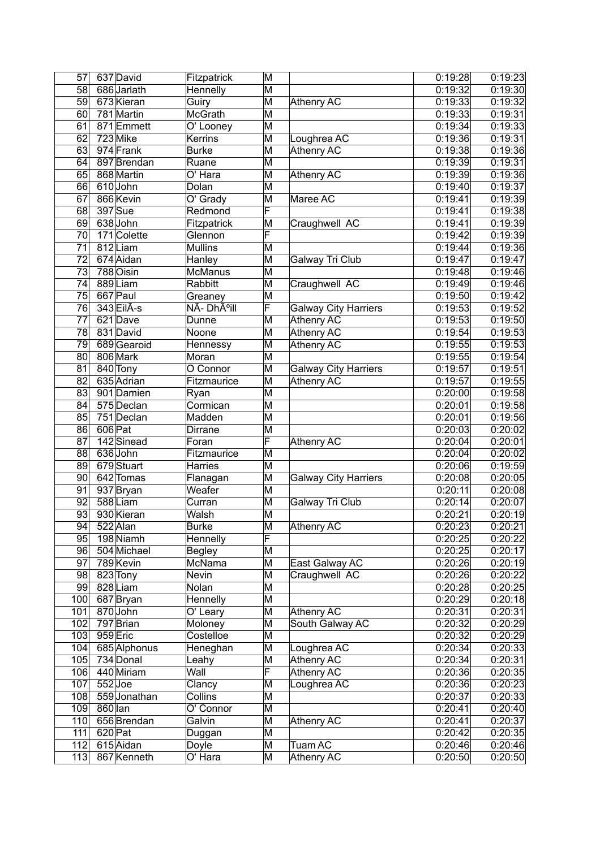| 57              | 637 David              | Fitzpatrick           | M                       |                             | 0:19:28            | 0:19:23            |
|-----------------|------------------------|-----------------------|-------------------------|-----------------------------|--------------------|--------------------|
| 58              | 686 Jarlath            | Hennelly              | $\overline{\mathsf{M}}$ |                             | 0:19:32            | 0:19:30            |
| 59              | 673 Kieran             | Guiry                 | $\overline{\mathsf{M}}$ | Athenry AC                  | 0:19:33            | 0:19:32            |
| 60              | 781 Martin             | McGrath               | $\overline{\mathsf{M}}$ |                             | 0:19:33            | 0:19:31            |
| 61              | 871 Emmett             | O' Looney             | M                       |                             | 0:19:34            | 0:19:33            |
| 62              | 723 Mike               | Kerrins               | $\overline{\mathsf{M}}$ | Loughrea AC                 | 0:19:36            | 0:19:31            |
| 63              | 974 Frank              | <b>Burke</b>          | $\overline{\mathsf{M}}$ | <b>Athenry AC</b>           | 0:19:38            | 0:19:36            |
| 64              | 897 Brendan            | Ruane                 | $\overline{\mathsf{M}}$ |                             | 0:19:39            | 0:19:31            |
| 65              | 868 Martin             | O' Hara               | $\overline{\mathsf{M}}$ | <b>Athenry AC</b>           | 0:19:39            | 0:19:36            |
| 66              | 610 John               | Dolan                 | $\overline{\mathsf{M}}$ |                             | 0:19:40            | 0:19:37            |
| 67              | 866 Kevin              | $\overline{O'}$ Grady | $\overline{\mathsf{M}}$ | Maree AC                    | 0:19:41            | 0:19:39            |
| 68              | 397 Sue                | Redmond               | F                       |                             | 0:19:41            | 0:19:38            |
| 69              | 638 John               | Fitzpatrick           | M                       | Craughwell AC               | 0:19:41            | 0:19:39            |
| 70              | 171 Colette            | Glennon               | F                       |                             | 0:19:42            | 0:19:39            |
| $\overline{71}$ | 812Liam                | <b>Mullins</b>        | $\overline{\mathsf{M}}$ |                             | 0:19:44            | 0:19:36            |
| $\overline{72}$ | 674 Aidan              | Hanley                | $\overline{\mathsf{M}}$ | <b>Galway Tri Club</b>      | 0:19:47            | 0:19:47            |
| $\overline{73}$ | 788 Oisin              | <b>McManus</b>        | $\overline{\mathsf{M}}$ |                             | 0:19:48            | 0:19:46            |
| 74              | 889Liam                | Rabbitt               | $\overline{\mathsf{M}}$ | Craughwell AC               | 0:19:49            | 0:19:46            |
| 75              | 667 Paul               | Greaney               | $\overline{\mathsf{M}}$ |                             | 0:19:50            | 0:19:42            |
| 76              | 343 EilA-s             | NÃ- Dhúill            | F                       | <b>Galway City Harriers</b> | 0:19:53            | 0:19:52            |
| 77              | 621Dave                | Dunne                 | $\overline{\mathsf{M}}$ | <b>Athenry AC</b>           | 0:19:53            | 0:19:50            |
| 78              | 831 David              | Noone                 | $\overline{\mathsf{M}}$ | <b>Athenry AC</b>           | 0:19:54            | 0:19:53            |
| 79              | 689 Gearoid            | Hennessy              | $\overline{\mathsf{M}}$ | <b>Athenry AC</b>           | 0:19:55            | 0:19:53            |
| 80              | 806 Mark               | Moran                 | $\overline{\mathsf{M}}$ |                             | 0:19:55            | 0:19:54            |
| $\overline{81}$ | 840 Tony               | O Connor              | $\overline{\mathsf{M}}$ | <b>Galway City Harriers</b> | 0:19:57            | 0:19:51            |
| 82              | 635 Adrian             | Fitzmaurice           | $\overline{\mathsf{M}}$ | <b>Athenry AC</b>           | 0:19:57            | 0:19:55            |
| 83              | 901 Damien             | Ryan                  | $\overline{\mathsf{M}}$ |                             | 0:20:00            | 0:19:58            |
| 84              | 575 Declan             | Cormican              | $\overline{\mathsf{M}}$ |                             | 0:20:01            | 0:19:58            |
| 85              | 751 Declan             | Madden                | $\overline{\mathsf{M}}$ |                             | 0:20:01            | 0:19:56            |
| 86              | 606 Pat                | <b>Dirrane</b>        | $\overline{\mathsf{M}}$ |                             | 0:20:03            | 0:20:02            |
| 87              | 142 Sinead             | Foran                 | $\overline{\mathsf{F}}$ | <b>Athenry AC</b>           | 0:20:04            | 0:20:01            |
| $\overline{88}$ | 636 John               | Fitzmaurice           | $\overline{\mathsf{M}}$ |                             | 0:20:04            | 0:20:02            |
| 89              | 679 Stuart             | Harries               | M                       |                             | 0:20:06            | 0:19:59            |
| 90              | 642 Tomas              | Flanagan              | $\overline{\mathsf{M}}$ | <b>Galway City Harriers</b> | 0:20:08            | 0:20:05            |
| 91              | 937 Bryan              | Weafer                | $\overline{\mathsf{M}}$ |                             | 0:20:11            | 0:20:08            |
| 92              | 588Liam                | Curran                | $\overline{\mathsf{M}}$ | Galway Tri Club             | 0:20:14            | 0:20:07            |
| 93              | 930 Kieran             | Walsh                 | $\overline{\mathsf{M}}$ |                             | 0:20:21            | 0:20:19            |
| 94              | 522 Alan               | Burke                 | ΙM                      | Athenry AC                  | 0:20:23            | 0:20:21            |
| 95              | 198 Niamh              | Hennelly              | F                       |                             | 0:20:25            | 0:20:22            |
| 96              | 504 Michael            | <b>Begley</b>         | M                       |                             | 0:20:25            | 0:20:17            |
| 97              | 789 Kevin              | McNama                | M                       | East Galway AC              | 0:20:26            | 0:20:19            |
| 98              | 823 Tony               | Nevin                 | M                       | Craughwell AC               | 0:20:26            | 0:20:22            |
| 99              | 828 Liam               | Nolan                 | M                       |                             | 0:20:28            | 0:20:25            |
| 100             | 687 Bryan              | Hennelly              | M                       |                             | 0:20:29            | 0:20:18            |
| 101             | 870 John               | O' Leary              | M                       | <b>Athenry AC</b>           | 0:20:31            | 0:20:31            |
| 102             | 797 Brian              | Moloney               | M                       | South Galway AC             | 0:20:32            | 0:20:29            |
| 103             | 959 Eric               | Costelloe             | M                       |                             | 0:20:32            | 0:20:29            |
| 104             | 685 Alphonus           | Heneghan              | M                       | Loughrea AC                 | 0:20:34            | 0:20:33            |
| 105             | 734 Donal              | Leahy                 | M                       | Athenry AC                  | 0:20:34            | 0:20:31            |
| 106             | 440 Miriam             | Wall                  | F                       | <b>Athenry AC</b>           | 0:20:36            | 0:20:35            |
| 107             | 552Joe                 | Clancy                | M                       | Loughrea AC                 | 0:20:36            | 0:20:23            |
| 108             | 559 Jonathan           | Collins               | M                       |                             | 0:20:37            | 0:20:33            |
| 109             | 860 lan                | O' Connor             | M                       | Athenry AC                  | 0:20:41<br>0:20:41 | 0:20:40            |
| 110<br>111      | 656 Brendan<br>620 Pat | Galvin<br>Duggan      | M<br>M                  |                             | 0:20:42            | 0:20:37<br>0:20:35 |
| 112             | 615 Aidan              | Doyle                 | M                       | Tuam AC                     | 0:20:46            | 0:20:46            |
| 113             | 867 Kenneth            | O' Hara               | M                       | Athenry AC                  | 0:20:50            | 0:20:50            |
|                 |                        |                       |                         |                             |                    |                    |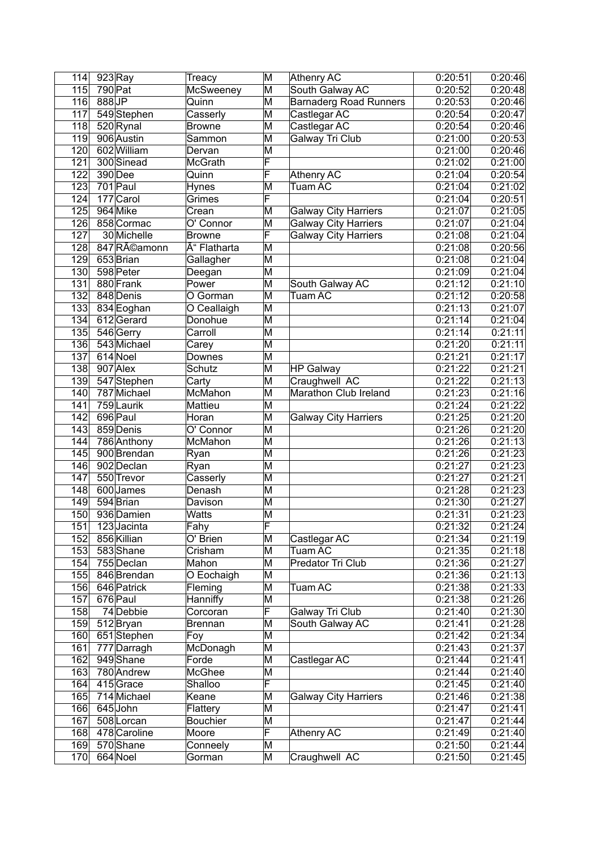| 114              | 923 Ray                 | Treacy          | M                       | Athenry AC                    | 0:20:51            | 0:20:46            |
|------------------|-------------------------|-----------------|-------------------------|-------------------------------|--------------------|--------------------|
| 115              | 790 Pat                 | McSweeney       | $\overline{\mathsf{M}}$ | South Galway AC               | 0:20:52            | 0:20:48            |
| 116              | $888$ JP                | Quinn           | M                       | <b>Barnaderg Road Runners</b> | 0:20:53            | 0:20:46            |
| 117              | 549 Stephen             | Casserly        | M                       | Castlegar AC                  | 0:20:54            | 0:20:47            |
| 118              | 520 Rynal               | Browne          | M                       | Castlegar AC                  | 0:20:54            | 0:20:46            |
| 119              | 906 Austin              | Sammon          | M                       | Galway Tri Club               | 0:21:00            | 0:20:53            |
| 120              | 602 William             | Dervan          | $\overline{\mathsf{M}}$ |                               | 0:21:00            | 0:20:46            |
| 121              | 300 Sinead              | McGrath         | F                       |                               | 0:21:02            | 0:21:00            |
| 122              | 390 Dee                 | Quinn           | F                       | Athenry AC                    | 0:21:04            | 0:20:54            |
| 123              | 701 Paul                | Hynes           | $\overline{\mathsf{M}}$ | <b>Tuam AC</b>                | 0:21:04            | 0:21:02            |
| 124              | 177 Carol               | Grimes          | F                       |                               | 0:21:04            | 0:20:51            |
| 125              | 964 Mike                | Crean           | M                       | <b>Galway City Harriers</b>   | 0:21:07            | 0:21:05            |
| 126              | 858 Cormac              | O' Connor       | M                       | <b>Galway City Harriers</b>   | 0:21:07            | 0:21:04            |
| 127              | 30 Michelle             | <b>Browne</b>   | F                       | <b>Galway City Harriers</b>   | 0:21:08            | 0:21:04            |
| 128              | 847 Réamonn             | Ó Flatharta     | $\overline{\mathsf{M}}$ |                               | 0:21:08            | 0:20:56            |
| 129              | 653 Brian               | Gallagher       | $\overline{\mathsf{M}}$ |                               | 0:21:08            | 0:21:04            |
| 130              | 598 Peter               | Deegan          | $\overline{\mathsf{M}}$ |                               | 0:21:09            | 0:21:04            |
| 131              | 880 Frank               | Power           | M                       | South Galway AC               | 0:21:12            | 0:21:10            |
| 132              | 848 Denis               | O Gorman        | $\overline{\mathsf{M}}$ | Tuam AC                       | 0:21:12            | 0:20:58            |
| 133              | 834 Eoghan              | O Ceallaigh     | M                       |                               | 0:21:13            | 0:21:07            |
| 134              | 612Gerard               | Donohue         | M                       |                               | 0:21:14            | 0:21:04            |
| 135              | 546 Gerry               | Carroll         | M                       |                               | 0:21:14            | 0:21:11            |
| 136              | 543 Michael             | Carey           | M                       |                               | 0:21:20            | 0:21:11            |
| 137              | 614 Noel                | <b>Downes</b>   | $\overline{\mathsf{M}}$ |                               | 0:21:21            | 0:21:17            |
| 138              | 907 Alex                | Schutz          | $\overline{\mathsf{M}}$ | <b>HP Galway</b>              | 0:21:22            | 0:21:21            |
| 139              | 547 Stephen             | Carty           | M                       | Craughwell AC                 | 0:21:22            | 0:21:13            |
| 140              | 787 Michael             | McMahon         | M                       | Marathon Club Ireland         | 0:21:23            | 0:21:16            |
| 141              | 759 Laurik              | Mattieu         | M                       |                               | 0:21:24            | 0:21:22            |
| 142              | 696 Paul                | Horan           | $\overline{\mathsf{M}}$ | <b>Galway City Harriers</b>   | 0:21:25            | 0:21:20            |
| 143              | 859 Denis               | O' Connor       | M                       |                               | 0:21:26            | 0:21:20            |
| 144              | 786 Anthony             | McMahon         | $\overline{\mathsf{M}}$ |                               | 0:21:26            | 0:21:13            |
| 145              | 900 Brendan             | Ryan            | $\overline{\mathsf{M}}$ |                               | 0:21:26            | 0:21:23            |
| 146              | 902 Declan              | Ryan            | M                       |                               | 0:21:27            | 0:21:23            |
| 147              | 550 Trevor              | Casserly        | M                       |                               | 0:21:27            | 0:21:21            |
| 148              | 600 James               | Denash          | M                       |                               | 0:21:28            | 0:21:23            |
| 149              | 594 Brian               | Davison         | M                       |                               | 0:21:30            | 0:21:27            |
| 150              | 936 Damien              | Watts           | M                       |                               | 0:21:31            | 0:21:23            |
| $\overline{151}$ | 123 Jacinta             | Fahy            | ΙF                      |                               | 0:21:32            | 0:21:24            |
| 152              | 856 Killian             | O' Brien        | $\overline{\mathsf{M}}$ | Castlegar AC                  | 0:21:34            | 0:21:19            |
| 153              | 583 Shane               | Crisham         | M                       | Tuam AC                       | 0:21:35            | 0:21:18            |
| 154              | 755 Declan              | Mahon           | M                       | <b>Predator Tri Club</b>      | 0:21:36            | 0:21:27            |
| 155              | 846 Brendan             | O Eochaigh      | M                       |                               | 0:21:36            | 0:21:13            |
| 156              | 646 Patrick             | Fleming         | M                       | Tuam AC                       | 0:21:38            | 0:21:33            |
| 157              | 676 Paul                | Hanniffy        | M                       |                               | 0:21:38            | 0:21:26            |
| 158              | 74 Debbie               | Corcoran        | F                       | Galway Tri Club               | 0:21:40            | 0:21:30            |
| 159              | 512 Bryan               | <b>Brennan</b>  | M                       | South Galway AC               | 0:21:41            | 0:21:28            |
| 160              | 651 Stephen             | Foy             | M                       |                               | 0:21:42            | 0:21:34            |
| 161              | 777 Darragh             | McDonagh        | M                       |                               | 0:21:43            | 0:21:37            |
| 162<br>163       | 949 Shane<br>780 Andrew | Forde<br>McGhee | M                       | Castlegar AC                  | 0:21:44<br>0:21:44 | 0:21:41<br>0:21:40 |
| 164              | 415 Grace               | Shalloo         | M<br>F                  |                               | 0:21:45            | 0:21:40            |
| 165              | 714 Michael             | Keane           | M                       | <b>Galway City Harriers</b>   | 0:21:46            | 0:21:38            |
| 166              | 645 John                | Flattery        | M                       |                               | 0:21:47            | 0:21:41            |
| 167              | 508 Lorcan              | <b>Bouchier</b> | M                       |                               | 0:21:47            | 0:21:44            |
| 168              | 478 Caroline            | Moore           | F                       | Athenry AC                    | 0:21:49            | 0:21:40            |
| 169              | 570 Shane               | Conneely        | M                       |                               | 0:21:50            | 0:21:44            |
| 170              | 664 Noel                | Gorman          | M                       | Craughwell AC                 | 0:21:50            | 0:21:45            |
|                  |                         |                 |                         |                               |                    |                    |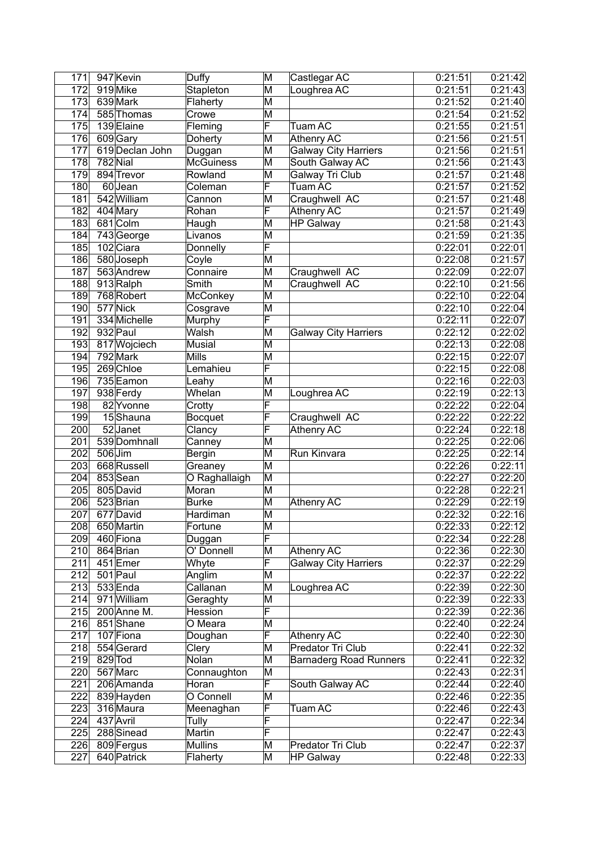| 171              | 947 Kevin                | Duffy            | M                       | Castlegar AC                  | 0:21:51 | 0:21:42            |
|------------------|--------------------------|------------------|-------------------------|-------------------------------|---------|--------------------|
| 172              | 919 Mike                 | Stapleton        | $\overline{\mathsf{M}}$ | Loughrea AC                   | 0:21:51 | 0:21:43            |
| 173              | 639 Mark                 | Flaherty         | M                       |                               | 0:21:52 | 0:21:40            |
| 174              | 585 Thomas               | Crowe            | M                       |                               | 0:21:54 | 0:21:52            |
| 175              | 139 Elaine               | Fleming          | F                       | <b>Tuam AC</b>                | 0:21:55 | 0:21:51            |
| 176              | 609 Gary                 | Doherty          | M                       | Athenry AC                    | 0:21:56 | 0:21:51            |
| 177              | 619 Declan John          | Duggan           | $\overline{\mathsf{M}}$ | <b>Galway City Harriers</b>   | 0.21:56 | 0:21:51            |
| 178              | $782$ Nial               | <b>McGuiness</b> | M                       | South Galway AC               | 0:21:56 | 0:21:43            |
| 179              | 894 Trevor               | Rowland          | $\overline{\mathsf{M}}$ | Galway Tri Club               | 0:21:57 | 0:21:48            |
| 180              | 60 Jean                  | Coleman          | F                       | Tuam AC                       | 0:21:57 | 0:21:52            |
| 181              | 542 William              | Cannon           | M                       | Craughwell AC                 | 0:21:57 | 0:21:48            |
| 182              | 404 Mary                 | Rohan            | F                       | <b>Athenry AC</b>             | 0:21:57 | 0:21:49            |
| 183              | 681 Colm                 | Haugh            | M                       | <b>HP Galway</b>              | 0.21:58 | 0:21:43            |
| 184              | 743 George               | Livanos          | M                       |                               | 0.21:59 | 0:21:35            |
| 185              | 102 Ciara                | Donnelly         | F                       |                               | 0:22:01 | 0:22:01            |
| 186              | 580 Joseph               | Coyle            | $\overline{\mathsf{M}}$ |                               | 0:22:08 | 0:21:57            |
| 187              | 563 Andrew               | Connaire         | $\overline{\mathsf{M}}$ | Craughwell AC                 | 0:22:09 | 0:22:07            |
| 188              | 913 Ralph                | Smith            | M                       | Craughwell AC                 | 0:22:10 | 0:21:56            |
| 189              | 768 Robert               | McConkey         | $\overline{\mathsf{M}}$ |                               | 0:22:10 | 0:22:04            |
| 190              | 577 Nick                 | Cosgrave         | M                       |                               | 0:22:10 | 0:22:04            |
| 191              | 334 Michelle             |                  | F                       |                               | 0:22:11 | 0:22:07            |
| 192              | 932 Paul                 | Murphy<br>Walsh  | $\overline{\mathsf{M}}$ |                               | 0:22:12 | 0:22:02            |
| 193              |                          | <b>Musial</b>    | $\overline{\mathsf{M}}$ | <b>Galway City Harriers</b>   | 0:22:13 |                    |
| 194              | 817 Wojciech<br>792 Mark | <b>Mills</b>     | $\overline{\mathsf{M}}$ |                               | 0:22:15 | 0:22:08<br>0:22:07 |
|                  | 269 Chloe                |                  | F                       |                               |         |                    |
| 195              |                          | Lemahieu         |                         |                               | 0:22:15 | 0:22:08            |
| 196              | 735 Eamon                | Leahy            | M                       |                               | 0:22:16 | 0:22:03            |
| 197              | 938 Ferdy                | Whelan           | $\overline{\mathsf{M}}$ | Loughrea AC                   | 0:22:19 | 0:22:13            |
| 198              | 82 Yvonne                | Crotty           | $\overline{\mathsf{F}}$ |                               | 0:22:22 | 0:22:04            |
| 199              | 15Shauna                 | Bocquet          | F                       | Craughwell AC                 | 0:22:22 | 0:22:22            |
| 200              | 52 Janet                 | Clancy           | $\overline{\mathsf{F}}$ | <b>Athenry AC</b>             | 0:22:24 | 0:22:18            |
| $\overline{201}$ | 539 Domhnall             | Canney           | $\overline{\mathsf{M}}$ |                               | 0:22:25 | 0:22:06            |
| $\overline{202}$ | 506 Jim                  | Bergin           | $\overline{\mathsf{M}}$ | Run Kinvara                   | 0:22:25 | 0:22:14            |
| 203              | 668 Russell              | Greaney          | $\overline{\mathsf{M}}$ |                               | 0:22:26 | 0:22:11            |
| 204              | 853 Sean                 | O Raghallaigh    | M                       |                               | 0:22:27 | 0:22:20            |
| 205              | 805 David                | Moran            | M                       |                               | 0:22:28 | 0:22:21            |
| 206              | 523 Brian                | <b>Burke</b>     | $\overline{\mathsf{M}}$ | <b>Athenry AC</b>             | 0:22:29 | 0:22:19            |
| 207              | 677 David                | Hardiman         | M                       |                               | 0:22:32 | 0:22:16            |
| 208              | 650 Martin               | Fortune          | ΙM                      |                               | 0:22:33 | 0:22:12            |
| 209              | 460 Fiona                | Duggan           | F                       |                               | 0:22:34 | 0:22:28            |
| 210              | 864 Brian                | O' Donnell       | M                       | Athenry AC                    | 0:22:36 | 0:22:30            |
| 211              | 451 Emer                 | Whyte            | F                       | <b>Galway City Harriers</b>   | 0:22:37 | 0:22:29            |
| 212              | 501 Paul                 | Anglim           | M                       |                               | 0:22:37 | 0:22:22            |
| 213              | 533 Enda                 | Callanan         | M                       | Loughrea AC                   | 0:22:39 | 0:22:30            |
| 214              | 971 William              | Geraghty         | M                       |                               | 0:22:39 | 0:22:33            |
| 215              | 200 Anne M.              | Hession          | F                       |                               | 0:22:39 | 0:22:36            |
| 216              | 851 Shane                | O Meara          | M                       |                               | 0:22:40 | 0:22:24            |
| 217              | 107 Fiona                | Doughan          | F                       | Athenry AC                    | 0:22:40 | 0:22:30            |
| 218              | 554 Gerard               | Clery            | M                       | Predator Tri Club             | 0:22:41 | 0:22:32            |
| 219              | 829 Tod                  | Nolan            | M                       | <b>Barnaderg Road Runners</b> | 0:22:41 | 0:22:32            |
| 220              | 567 Marc                 | Connaughton      | M                       |                               | 0:22:43 | 0:22:31            |
| 221              | 206 Amanda               | Horan            | F                       | South Galway AC               | 0:22:44 | 0:22:40            |
| 222              | 839 Hayden               | O Connell        | M                       |                               | 0:22:46 | 0:22:35            |
| 223              | 316 Maura                | Meenaghan        | F                       | Tuam AC                       | 0:22:46 | 0:22:43            |
| 224              | 437 Avril                | Tully            | F                       |                               | 0:22:47 | 0:22:34            |
| 225              | 288 Sinead               | Martin           | F                       |                               | 0:22:47 | 0:22:43            |
| 226              | 809 Fergus               | <b>Mullins</b>   | M                       | Predator Tri Club             | 0:22:47 | 0:22:37            |
| 227              | 640 Patrick              | Flaherty         | M                       | <b>HP Galway</b>              | 0:22:48 | 0:22:33            |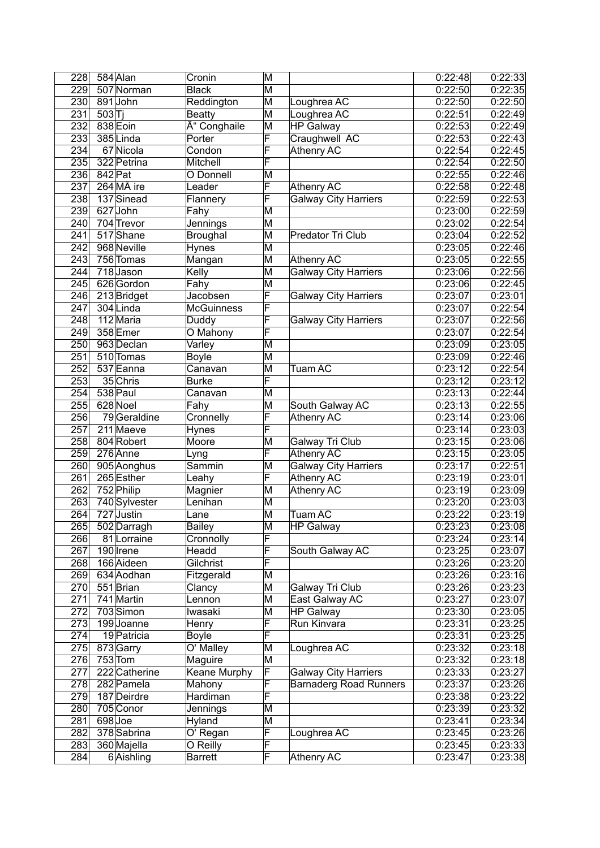| 228               | 584 Alan              | Cronin              | M                       |                               | 0:22:48              | 0:22:33            |
|-------------------|-----------------------|---------------------|-------------------------|-------------------------------|----------------------|--------------------|
| 229               | 507 Norman            | <b>Black</b>        | $\overline{\mathsf{M}}$ |                               | 0:22:50              | 0:22:35            |
| 230               | 891 John              | Reddington          | M                       | Loughrea AC                   | 0:22:50              | 0:22:50            |
| 231               | 503 T                 | <b>Beatty</b>       | M                       | Loughrea AC                   | 0:22:51              | 0:22:49            |
| 232               | 838 Eoin              | Ó Conghaile         | M                       | <b>HP Galway</b>              | 0:22:53              | 0:22:49            |
| 233               | 385Linda              | Porter              | F                       | Craughwell AC                 | 0:22:53              | 0:22:43            |
| 234               | 67 Nicola             | Condon              | F                       | <b>Athenry AC</b>             | 0:22:54              | 0:22:45            |
| 235               | 322 Petrina           | Mitchell            | F                       |                               | 0:22:54              | 0:22:50            |
| 236               | 842 Pat               | O Donnell           | $\overline{\mathsf{M}}$ |                               | 0:22:55              | 0:22:46            |
| 237               | 264 MÃ ire            | Leader              | F                       | <b>Athenry AC</b>             | 0:22:58              | 0:22:48            |
| 238               | 137 Sinead            | Flannery            | F                       | <b>Galway City Harriers</b>   | 0:22:59              | 0:22:53            |
| 239               | 627 John              | Fahy                | M                       |                               | 0:23:00              | 0:22:59            |
| 240               | 704 Trevor            | Jennings            | M                       |                               | 0:23:02              | 0:22:54            |
| 241               | 517 Shane             | Broughal            | M                       | Predator Tri Club             | 0:23:04              | 0:22:52            |
| 242               | 968 Neville           | Hynes               | $\overline{\mathsf{M}}$ |                               | 0:23:05              | 0:22:46            |
| $\overline{243}$  | 756 Tomas             | Mangan              | $\overline{\mathsf{M}}$ | <b>Athenry AC</b>             | 0:23:05              | 0:22:55            |
| $\overline{244}$  | $718$ Jason           | Kelly               | $\overline{\mathsf{M}}$ | <b>Galway City Harriers</b>   | 0:23:06              | 0:22:56            |
| 245               | 626 Gordon            | Fahy                | M                       |                               | 0:23:06              | 0:22:45            |
| $\overline{2}$ 46 | 213 Bridget           | Jacobsen            | F                       | <b>Galway City Harriers</b>   | 0:23:07              | 0:23:01            |
| 247               | 304 Linda             | <b>McGuinness</b>   | F                       |                               | 0:23:07              | 0:22:54            |
| 248               | 112 Maria             | Duddy               | F                       | <b>Galway City Harriers</b>   | 0:23:07              | 0:22:56            |
| 249               | 358 Emer              | O Mahony            | F                       |                               | 0:23:07              | 0:22:54            |
| 250               | 963 Declan            | Varley              | M                       |                               | 0:23:09              | 0:23:05            |
| 251               | 510 Tomas             | <b>Boyle</b>        | $\overline{\mathsf{M}}$ |                               | 0:23:09              | 0:22:46            |
| $\overline{252}$  | 537 Eanna             | Canavan             | $\overline{\mathsf{M}}$ | Tuam AC                       | 0:23:12              | 0:22:54            |
| 253               | 35 Chris              | <b>Burke</b>        | F                       |                               | 0:23:12              | 0:23:12            |
| 254               | 538 Paul              | Canavan             | M                       |                               | 0:23:13              | 0:22:44            |
| 255               | 628 Noel              | Fahy                | M                       | South Galway AC               | 0:23:13              | 0:22:55            |
| 256               | 79 Geraldine          | Cronnelly           | F                       | <b>Athenry AC</b>             | 0:23:14              | 0:23:06            |
| $\overline{257}$  | 211 Maeve             | Hynes               | F                       |                               | 0:23:14              | 0:23:03            |
| 258               | 804 Robert            | Moore               | $\overline{\mathsf{M}}$ | Galway Tri Club               | 0:23:15              | 0:23:06            |
| 259               | 276 Anne              | Lyng                | F                       | <b>Athenry AC</b>             | 0:23:15              | 0:23:05            |
| 260               | 905 Aonghus           | Sammin              | M                       | <b>Galway City Harriers</b>   | 0:23:17              | 0:22:51            |
| 261               | 265 Esther            | Leahy               | $\overline{\mathsf{F}}$ | Athenry AC                    | 0:23:19              | 0:23:01            |
| 262               | 752 Philip            | Magnier             | M                       | <b>Athenry AC</b>             | 0:23:19              | 0:23:09            |
| 263               | 740 Sylvester         | Lenihan             | M                       |                               | 0:23:20              | 0:23:03            |
| 264               | 727 Justin            | Lane                | $\overline{\mathsf{M}}$ | Tuam AC                       | 0:23:22              | 0:23:19            |
| $\overline{265}$  | 502 Darragh           | Bailey              | ΙM                      | <b>HP Galway</b>              | 0:23:23              | 0:23:08            |
| 266               | 81 Lorraine           | Cronnolly           | F                       |                               | 0:23:24              | 0:23:14            |
| 267               | 190 Irene             | Headd               | F                       | South Galway AC               | 0:23:25              | 0:23:07            |
| 268               | 166 Aideen            | Gilchrist           | F                       |                               | 0:23:26              | 0:23:20            |
| 269               | 634 Aodhan            | Fitzgerald          | M                       |                               | 0:23:26              | 0:23:16            |
| 270               | 551 Brian             | Clancy              | M                       | Galway Tri Club               | 0:23:26              | 0:23:23            |
| 271               | 741 Martin            | Lennon              | M                       | East Galway AC                | 0:23:27              | 0:23:07            |
| 272               | 703 Simon             | Iwasaki             | M                       | <b>HP Galway</b>              | $\overline{0:}23:30$ | 0:23:05            |
| 273               | 199Joanne             | Henry               | F                       | Run Kinvara                   | 0:23:31              | 0:23:25            |
| 274               | 19 Patricia           | <b>Boyle</b>        | F                       |                               | 0:23:31              | 0:23:25            |
| 275               | 873 Garry             | O' Malley           | M                       | Loughrea AC                   | 0:23:32              | 0:23:18            |
| 276               | $753$ Tom             | Maguire             | M                       |                               | 0:23:32              | 0:23:18            |
| 277               | 222 Catherine         | <b>Keane Murphy</b> | F                       | Galway City Harriers          | 0:23:33              | 0:23:27            |
| 278               | 282 Pamela            | Mahony              | $\overline{\mathsf{F}}$ | <b>Barnaderg Road Runners</b> | 0:23:37              | 0:23:26            |
| 279               | 187 Deirdre           | Hardiman            | F                       |                               | 0:23:38              | 0:23:22            |
| 280               | 705 Conor             | Jennings            | M                       |                               | 0:23:39<br>0:23:41   | 0:23:32            |
| 281<br>282        | 698Joe<br>378 Sabrina | Hyland<br>O' Regan  | M<br>F                  | Loughrea AC                   | 0:23:45              | 0:23:34<br>0:23:26 |
| 283               | 360 Majella           | O Reilly            | F                       |                               | 0:23:45              | 0:23:33            |
| 284               | 6 Aishling            | <b>Barrett</b>      | F                       | Athenry AC                    | 0:23:47              | 0:23:38            |
|                   |                       |                     |                         |                               |                      |                    |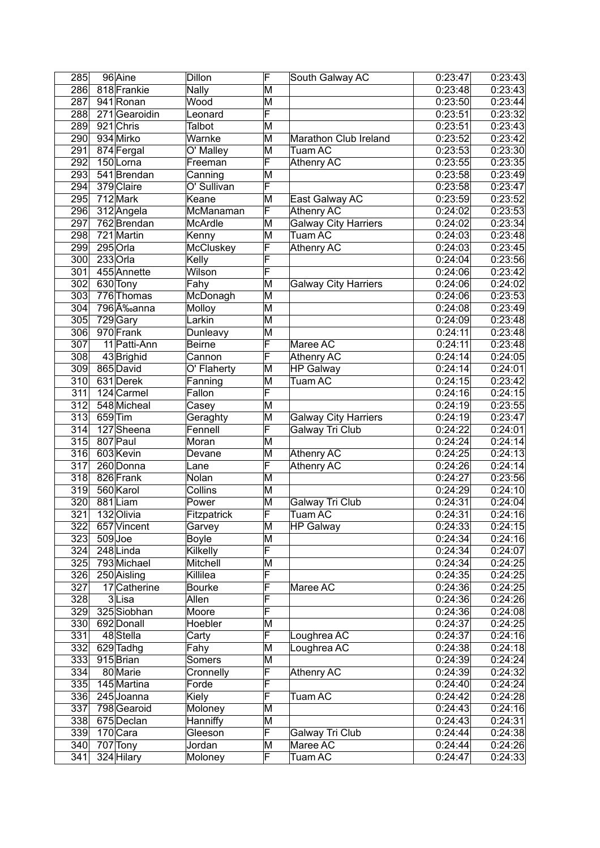| 285              |         | 96 Aine       | Dillon        | F                       | South Galway AC             | 0:23:47 | $\overline{0}$ :23:43 |
|------------------|---------|---------------|---------------|-------------------------|-----------------------------|---------|-----------------------|
| 286              |         | 818 Frankie   | <b>Nally</b>  | M                       |                             | 0:23:48 | 0:23:43               |
| 287              |         | 941 Ronan     | Wood          | M                       |                             | 0:23:50 | 0:23:44               |
| 288              |         | 271 Gearoidin | Leonard       | F                       |                             | 0:23:51 | 0:23:32               |
| 289              |         | 921 Chris     | Talbot        | M                       |                             | 0:23:51 | 0:23:43               |
| 290              |         | 934 Mirko     | Warnke        | M                       | Marathon Club Ireland       | 0:23:52 | 0:23:42               |
| 291              |         | 874 Fergal    | O' Malley     | M                       | <b>Tuam AC</b>              | 0:23:53 | 0:23:30               |
| 292              |         | 150Lorna      | Freeman       | F                       | Athenry AC                  | 0:23:55 | 0:23:35               |
| 293              |         | 541 Brendan   | Canning       | $\overline{\mathsf{M}}$ |                             | 0:23:58 | 0:23:49               |
| 294              |         | 379 Claire    | O' Sullivan   | $\overline{\mathsf{F}}$ |                             | 0:23:58 | 0:23:47               |
| 295              |         | 712 Mark      | Keane         | M                       | East Galway AC              | 0:23:59 | 0:23:52               |
| 296              |         |               | McManaman     | F                       |                             | 0:24:02 | 0:23:53               |
|                  |         | 312 Angela    |               |                         | Athenry AC                  |         |                       |
| 297              |         | 762 Brendan   | McArdle       | M                       | <b>Galway City Harriers</b> | 0:24:02 | 0:23:34               |
| 298              |         | 721 Martin    | Kenny         | M                       | <b>Tuam AC</b>              | 0:24:03 | 0:23:48               |
| 299              |         | 295 Orla      | McCluskey     | F                       | Athenry AC                  | 0:24:03 | 0:23:45               |
| 300              |         | 233 Orla      | Kelly         | F                       |                             | 0:24:04 | 0:23:56               |
| $\overline{301}$ |         | 455 Annette   | Wilson        | F                       |                             | 0:24:06 | 0:23:42               |
| 302              |         | 630 Tony      | Fahy          | M                       | <b>Galway City Harriers</b> | 0:24:06 | 0:24:02               |
| 303              |         | 776 Thomas    | McDonagh      | M                       |                             | 0:24:06 | 0:23:53               |
| 304              |         | 796'nanna     | Molloy        | M                       |                             | 0:24:08 | 0:23:49               |
| 305              |         | 729 Gary      | Larkin        | M                       |                             | 0:24:09 | 0:23:48               |
| 306              |         | 970 Frank     | Dunleavy      | M                       |                             | 0:24:11 | 0:23:48               |
| 307              |         | 11 Patti-Ann  | <b>Beirne</b> | F                       | Maree AC                    | 0:24:11 | 0:23:48               |
| 308              |         | 43 Brighid    | Cannon        | F                       | Athenry AC                  | 0:24:14 | 0:24:05               |
| 309              |         | 865 David     | O' Flaherty   | M                       | <b>HP Galway</b>            | 0:24:14 | 0:24:01               |
| 310              |         | 631 Derek     | Fanning       | M                       | Tuam AC                     | 0:24:15 | 0:23:42               |
| 311              |         | 124 Carmel    | Fallon        | F                       |                             | 0:24:16 | 0:24:15               |
| 312              |         | 548 Micheal   | Casey         | $\overline{\mathsf{M}}$ |                             | 0:24:19 | 0:23:55               |
| 313              | 659 Tim |               | Geraghty      | M                       | <b>Galway City Harriers</b> | 0.24:19 | 0:23:47               |
| 314              |         | 127 Sheena    | Fennell       | F                       | <b>Galway Tri Club</b>      | 0:24:22 | 0:24:01               |
| 315              |         | 807 Paul      | Moran         | $\overline{\mathsf{M}}$ |                             | 0:24:24 | 0:24:14               |
| $\overline{316}$ |         | 603 Kevin     |               | $\overline{\mathsf{M}}$ |                             | 0:24:25 | 0:24:13               |
|                  |         |               | Devane        |                         | Athenry AC                  |         |                       |
| 317              |         | 260 Donna     | Lane          | F                       | <b>Athenry AC</b>           | 0:24:26 | 0:24:14               |
| 318              |         | 826 Frank     | Nolan         | M                       |                             | 0:24:27 | 0:23:56               |
| 319              |         | 560 Karol     | Collins       | M                       |                             | 0:24:29 | 0:24:10               |
| 320              |         | 881Liam       | Power         | $\overline{\mathsf{M}}$ | Galway Tri Club             | 0:24:31 | 0:24:04               |
| 321              |         | 132 Olivia    | Fitzpatrick   | F                       | <b>Tuam AC</b>              | 0:24:31 | 0:24:16               |
| $\overline{322}$ |         | 657 Vincent   | Garvey        | $\overline{\mathsf{M}}$ | <b>HP Galway</b>            | 0:24:33 | 0:24:15               |
| 323              |         | 509Joe        | <b>Boyle</b>  | $\overline{\mathsf{M}}$ |                             | 0:24:34 | 0:24:16               |
| 324              |         | 248 Linda     | Kilkelly      | F                       |                             | 0:24:34 | 0:24:07               |
| 325              |         | 793 Michael   | Mitchell      | M                       |                             | 0:24:34 | 0:24:25               |
| 326              |         | 250 Aisling   | Killilea      | F                       |                             | 0:24:35 | 0:24:25               |
| 327              |         | 17 Catherine  | <b>Bourke</b> | $\overline{\mathsf{F}}$ | Maree AC                    | 0:24:36 | 0:24:25               |
| 328              |         | 3Lisa         | Allen         | $\overline{\mathsf{F}}$ |                             | 0:24:36 | 0:24:26               |
| 329              |         | 325 Siobhan   | Moore         | F                       |                             | 0:24:36 | 0:24:08               |
| 330              |         | 692 Donall    | Hoebler       | $\overline{\mathsf{M}}$ |                             | 0:24:37 | 0:24:25               |
| 331              |         | 48 Stella     | Carty         | F                       | Loughrea AC                 | 0:24:37 | 0:24:16               |
| 332              |         | 629 Tadhg     | Fahy          | M                       | Loughrea AC                 | 0:24:38 | 0:24:18               |
| 333              |         | 915 Brian     | Somers        | Μ                       |                             | 0:24:39 | 0:24:24               |
| 334              |         | 80 Marie      | Cronnelly     | $\overline{\mathsf{F}}$ | Athenry AC                  | 0:24:39 | 0:24:32               |
| 335              |         | 145 Martina   | Forde         | $\overline{\mathsf{F}}$ |                             | 0:24:40 | 0:24:24               |
| 336              |         | 245 Joanna    | Kiely         | $\overline{\mathsf{F}}$ | $T$ uam $\overline{AC}$     | 0:24:42 | 0:24:28               |
|                  |         |               |               |                         |                             |         |                       |
| 337              |         | 798 Gearoid   | Moloney       | M                       |                             | 0:24:43 | 0:24:16               |
| 338              |         | 675 Declan    | Hanniffy      | Μ                       |                             | 0:24:43 | 0:24:31               |
| 339              |         | 170 Cara      | Gleeson       | F                       | Galway Tri Club             | 0:24:44 | 0:24:38               |
| 340              |         | 707 Tony      | Jordan        | Μ                       | Maree AC                    | 0:24:44 | 0:24:26               |
| 341              |         | 324 Hilary    | Moloney       | F                       | Tuam AC                     | 0:24:47 | 0:24:33               |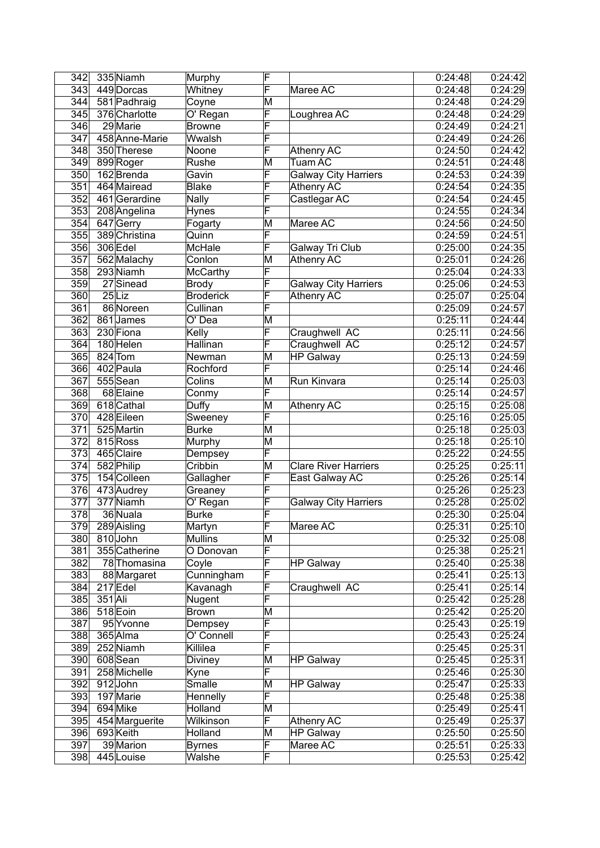| 342              |         | 335 Niamh                | Murphy                | F                       |                             | 0:24:48            | 0:24:42            |
|------------------|---------|--------------------------|-----------------------|-------------------------|-----------------------------|--------------------|--------------------|
| 343              |         | 449 Dorcas               | Whitney               | F                       | Maree AC                    | 0:24:48            | 0:24:29            |
| 344              |         | 581 Padhraig             | Coyne                 | M                       |                             | 0:24:48            | 0:24:29            |
| 345              |         | 376 Charlotte            | O' Regan              | F                       | Loughrea AC                 | 0:24:48            | 0:24:29            |
| 346              |         | 29 Marie                 | <b>Browne</b>         | F                       |                             | 0:24:49            | 0:24:21            |
| 347              |         | 458 Anne-Marie           | Wwalsh                | F                       |                             | 0:24:49            | 0:24:26            |
| 348              |         | 350 Therese              | Noone                 | F                       | Athenry AC                  | 0.24:50            | 0:24:42            |
| 349              |         | 899 Roger                | Rushe                 | M                       | Tuam AC                     | 0:24:51            | 0:24:48            |
| $\overline{350}$ |         | 162 Brenda               | Gavin                 | F                       | <b>Galway City Harriers</b> | 0.24.53            | 0:24:39            |
| 351              |         | 464 Mairead              | <b>Blake</b>          | F                       | <b>Athenry AC</b>           | 0:24:54            | 0:24:35            |
| $\overline{352}$ |         | 461 Gerardine            | <b>Nally</b>          | F                       | Castlegar AC                | 0:24:54            | 0:24:45            |
| 353              |         | 208 Angelina             | Hynes                 | F                       |                             | 0:24:55            | 0:24:34            |
| 354              |         | 647 Gerry                | Fogarty               | $\overline{\mathsf{M}}$ | Maree AC                    | 0:24:56            | 0:24:50            |
| 355              |         | 389 Christina            | Quinn                 | F                       |                             | 0.24:59            | 0:24:51            |
| 356              |         | 306 Edel                 | McHale                | F                       | Galway Tri Club             | 0:25:00            | 0:24:35            |
| 357              |         | 562 Malachy              | Conlon                | $\overline{\mathsf{M}}$ | <b>Athenry AC</b>           | 0:25:01            | 0:24:26            |
| 358              |         | 293 Niamh                | McCarthy              | F                       |                             | 0:25:04            | 0:24:33            |
| 359              |         | $27$ Sinead              | <b>Brody</b>          | F                       | <b>Galway City Harriers</b> | 0:25:06            | 0:24:53            |
| 360              |         | $25$ Liz                 | <b>Broderick</b>      | F                       | <b>Athenry AC</b>           | 0:25:07            | 0:25:04            |
| 361              |         | 86 Noreen                | Cullinan              | F                       |                             | 0:25:09            | 0:24:57            |
| 362              |         | 861 James                | O' Dea                | M                       |                             | 0:25:11            | 0:24:44            |
| 363              |         | 230 Fiona                | Kelly                 | F                       | Craughwell AC               | 0:25:11            | 0:24:56            |
| 364              |         | 180 Helen                | Hallinan              | F                       | Craughwell AC               | 0:25:12            | 0:24:57            |
| 365              |         | 824 Tom                  | Newman                | $\overline{\mathsf{M}}$ | <b>HP Galway</b>            | 0:25:13            | 0:24:59            |
| 366              |         | 402 Paula                | Rochford              | $\overline{\mathsf{F}}$ |                             | 0:25:14            | 0:24:46            |
| 367              |         | 555 Sean                 | Colins                | M                       | Run Kinvara                 | 0:25:14            | 0:25:03            |
| 368              |         | 68 Elaine                | Conmy                 | F                       |                             | 0:25:14            | 0:24:57            |
| 369              |         | 618 Cathal               | Duffy                 | $\overline{\mathsf{M}}$ | <b>Athenry AC</b>           | 0:25:15            | 0:25:08            |
| 370              |         | 428 Eileen               | Sweeney               | $\overline{\mathsf{F}}$ |                             | 0:25:16            | 0:25:05            |
| 371              |         | 525 Martin               | <b>Burke</b>          | $\overline{\mathsf{M}}$ |                             | 0:25:18            | 0:25:03            |
| $\overline{372}$ |         | 815 Ross                 | Murphy                | $\overline{\mathsf{M}}$ |                             | 0:25:18            | 0:25:10            |
| $\overline{373}$ |         | 465 Claire               | Dempsey               | F                       |                             | 0:25:22            | 0:24:55            |
| 374              |         | 582 Philip               | Cribbin               | M                       | <b>Clare River Harriers</b> | 0:25:25            | 0:25:11            |
| 375              |         | 154 Colleen              | Gallagher             | F                       | East Galway AC              | 0:25:26            | 0:25:14            |
| 376              |         | 473 Audrey               | Greaney               | F                       |                             | 0:25:26            | 0:25:23            |
| 377              |         | 377 Niamh                | O' Regan              | $\overline{\mathsf{F}}$ | <b>Galway City Harriers</b> | 0:25:28            | 0:25:02            |
| 378              |         | 36 Nuala                 | <b>Burke</b>          | $\overline{\mathsf{F}}$ |                             | 0:25:30            | 0:25:04            |
| $\overline{379}$ |         | 289 Aisling              | Martyn                | F                       | Maree AC                    | 0:25:31            | 0:25:10            |
| 380              |         | 810 John                 | <b>Mullins</b>        | M                       |                             | 0:25:32            | 0:25:08            |
| 381              |         | 355 Catherine            | O Donovan             | F                       |                             | 0:25:38            | 0:25:21            |
| 382              |         | 78 Thomasina             | Coyle                 | F                       | <b>HP Galway</b>            | 0:25:40            | 0:25:38            |
| 383              |         | 88 Margaret              | Cunningham            | F                       |                             | 0:25:41            | 0:25:13            |
| 384              |         | 217 Edel                 | Kavanagh              | F                       | Craughwell AC               | 0:25:41            | 0:25:14            |
| 385              | 351 Ali |                          | Nugent                | $\overline{\mathsf{F}}$ |                             | 0:25:42            | 0:25:28            |
| 386              |         | 518 Eoin                 | <b>Brown</b>          | M                       |                             | 0:25:42            | 0:25:20            |
| 387              |         | 95 Yvonne                | Dempsey               | F                       |                             | 0:25:43            | 0:25:19<br>0:25:24 |
| 388              |         | 365 Alma                 | O' Connell            | F<br>F                  |                             | 0:25:43            |                    |
| 389              |         | 252 Niamh                | Killilea              |                         |                             | 0:25:45            | 0:25:31            |
| 390<br>391       |         | 608 Sean<br>258 Michelle | Diviney               | M<br>F                  | <b>HP Galway</b>            | 0:25:45<br>0:25:46 | 0:25:31<br>0:25:30 |
| 392              |         | 912John                  | Kyne<br><b>Smalle</b> | M                       | <b>HP Galway</b>            | 0:25:47            | 0:25:33            |
| 393              |         | 197 Marie                | Hennelly              | F                       |                             | 0:25:48            | 0:25:38            |
| 394              |         | 694 Mike                 | Holland               | M                       |                             | 0:25:49            | 0:25:41            |
| 395              |         | 454 Marguerite           | Wilkinson             | F                       | Athenry AC                  | 0:25:49            | 0:25:37            |
| 396              |         | 693 Keith                | Holland               | Μ                       | <b>HP Galway</b>            | 0:25:50            | 0:25:50            |
| 397              |         | 39 Marion                | <b>Byrnes</b>         | F                       | Maree AC                    | 0:25:51            | 0:25:33            |
| 398              |         | 445 Louise               | Walshe                | F                       |                             | 0:25:53            | 0:25:42            |
|                  |         |                          |                       |                         |                             |                    |                    |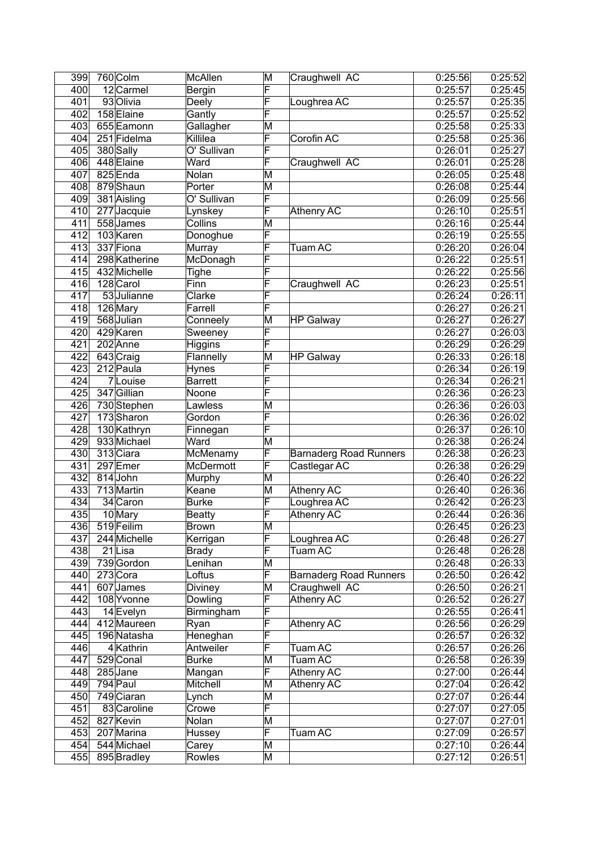| 399              | 760 Colm      | McAllen         | M                       | Craughwell AC                 | 0:25:56 | 0:25:52 |
|------------------|---------------|-----------------|-------------------------|-------------------------------|---------|---------|
| 400              | 12 Carmel     | Bergin          | F                       |                               | 0:25:57 | 0:25:45 |
| 401              | 93 Olivia     | Deely           | F                       | Loughrea AC                   | 0:25:57 | 0:25:35 |
| 402              | 158 Elaine    | Gantly          | F                       |                               | 0:25:57 | 0:25:52 |
| 403              | 655 Eamonn    | Gallagher       | M                       |                               | 0:25:58 | 0:25:33 |
| 404              | 251 Fidelma   | Killilea        | F                       | Corofin AC                    | 0:25:58 | 0:25:36 |
| 405              | 380 Sally     | O' Sullivan     | F                       |                               | 0:26:01 | 0:25:27 |
| 406              | 448 Elaine    | Ward            | F                       | Craughwell AC                 | 0:26:01 | 0:25:28 |
| 407              | 825 Enda      | Nolan           | M                       |                               | 0:26:05 | 0:25:48 |
| 408              | 879 Shaun     | Porter          | M                       |                               | 0:26:08 | 0:25:44 |
| 409              | 381 Aisling   | O' Sullivan     | F                       |                               | 0:26:09 | 0:25:56 |
| 410              | 277 Jacquie   | Lynskey         | F                       | Athenry AC                    | 0:26:10 | 0:25:51 |
| 411              | 558 James     | Collins         | $\overline{\mathsf{M}}$ |                               | 0:26:16 | 0:25:44 |
| 412              | 103 Karen     | Donoghue        | $\overline{\mathsf{F}}$ |                               | 0.26:19 | 0:25:55 |
| 413              | 337 Fiona     | Murray          | F                       | Tuam AC                       | 0:26:20 | 0:26:04 |
| 414              | 298 Katherine | McDonagh        | F                       |                               | 0:26:22 | 0:25:51 |
| $\overline{415}$ | 432 Michelle  | Tighe           | F                       |                               | 0:26:22 | 0:25:56 |
| 416              | 128 Carol     | Finn            | F                       | Craughwell AC                 | 0:26:23 | 0:25:51 |
| 417              | 53 Julianne   | Clarke          | F                       |                               | 0:26:24 | 0:26:11 |
| 418              | 126 Mary      | Farrell         | F                       |                               | 0:26:27 | 0:26:21 |
| 419              | 568 Julian    | Conneely        | M                       | <b>HP Galway</b>              | 0:26:27 | 0:26:27 |
| 420              | 429 Karen     | Sweeney         | F                       |                               | 0:26:27 | 0:26:03 |
| 421              | 202 Anne      | Higgins         | F                       |                               | 0:26:29 | 0:26:29 |
| 422              | 643 Craig     | Flannelly       | M                       | <b>HP Galway</b>              | 0:26:33 | 0:26:18 |
| 423              | 212 Paula     | Hynes           | F                       |                               | 0:26:34 | 0:26:19 |
| 424              | 7Louise       | <b>Barrett</b>  | F                       |                               | 0:26:34 | 0:26:21 |
| 425              | 347 Gillian   | Noone           | F                       |                               | 0:26:36 | 0:26:23 |
| 426              | 730 Stephen   | Lawless         | M                       |                               | 0:26:36 | 0:26:03 |
| 427              | 173 Sharon    | Gordon          | F                       |                               | 0:26:36 | 0:26:02 |
| 428              | 130 Kathryn   | Finnegan        | F                       |                               | 0:26:37 | 0:26:10 |
| 429              | 933 Michael   | Ward            | $\overline{\mathsf{M}}$ |                               | 0:26:38 | 0:26:24 |
| 430              | 313 Ciara     | <b>McMenamy</b> | F                       | <b>Barnaderg Road Runners</b> | 0:26:38 | 0:26:23 |
| 431              | 297 Emer      | McDermott       | F                       | Castlegar AC                  | 0.26:38 | 0:26:29 |
| 432              | $814$ John    | Murphy          | M                       |                               | 0:26:40 | 0:26:22 |
| 433              | 713 Martin    | Keane           | M                       | Athenry AC                    | 0:26:40 | 0:26:36 |
| 434              | 34 Caron      | <b>Burke</b>    | F                       | Loughrea AC                   | 0:26:42 | 0:26:23 |
| 435              | 10 Mary       | <b>Beatty</b>   | F                       | <b>Athenry AC</b>             | 0:26:44 | 0:26:36 |
| 436              | 519 Feilim    | Brown           | $\overline{\mathsf{M}}$ |                               | 0:26:45 | 0:26:23 |
| 437              | 244 Michelle  | Kerrigan        | F                       | Loughrea AC                   | 0:26:48 | 0:26:27 |
| 438              | 21Lisa        | <b>Brady</b>    | F                       | Tuam AC                       | 0:26:48 | 0:26:28 |
| 439              | 739 Gordon    | Lenihan         | M                       |                               | 0:26:48 | 0:26:33 |
| 440              | 273 Cora      | Loftus          | F                       | <b>Barnaderg Road Runners</b> | 0:26:50 | 0:26:42 |
| 441              | 607 James     | Diviney         | M                       | Craughwell AC                 | 0:26:50 | 0:26:21 |
| 442              | 108 Yvonne    | Dowling         | $\overline{F}$          | Athenry AC                    | 0:26:52 | 0:26:27 |
| 443              | 14 Evelyn     | Birmingham      | $\overline{\mathsf{F}}$ |                               | 0:26:55 | 0:26:41 |
| 444              | 412 Maureen   | Ryan            | $\overline{\mathsf{F}}$ | Athenry AC                    | 0:26:56 | 0:26:29 |
| 445              | 196 Natasha   | Heneghan        | $\overline{\mathsf{F}}$ |                               | 0:26:57 | 0:26:32 |
| 446              | 4 Kathrin     | Antweiler       | F                       | Tuam AC                       | 0:26:57 | 0:26:26 |
| 447              | 529 Conal     | <b>Burke</b>    | M                       | Tuam AC                       | 0:26:58 | 0:26:39 |
| 448              | 285 Jane      | Mangan          | F                       | Athenry AC                    | 0:27:00 | 0:26:44 |
| 449              | 794 Paul      | Mitchell        | M                       | Athenry AC                    | 0:27:04 | 0:26:42 |
| 450              | 749 Ciaran    | Lynch           | M                       |                               | 0:27:07 | 0:26:44 |
| 451              | 83 Caroline   | Crowe           | F                       |                               | 0:27:07 | 0:27:05 |
| 452              | 827 Kevin     | Nolan           | M                       |                               | 0:27:07 | 0:27:01 |
| 453              | 207 Marina    | Hussey          | F                       | Tuam AC                       | 0:27:09 | 0:26:57 |
| 454              | 544 Michael   | Carey           | M                       |                               | 0:27:10 | 0:26:44 |
| 455              | 895 Bradley   | Rowles          | M                       |                               | 0:27:12 | 0:26:51 |
|                  |               |                 |                         |                               |         |         |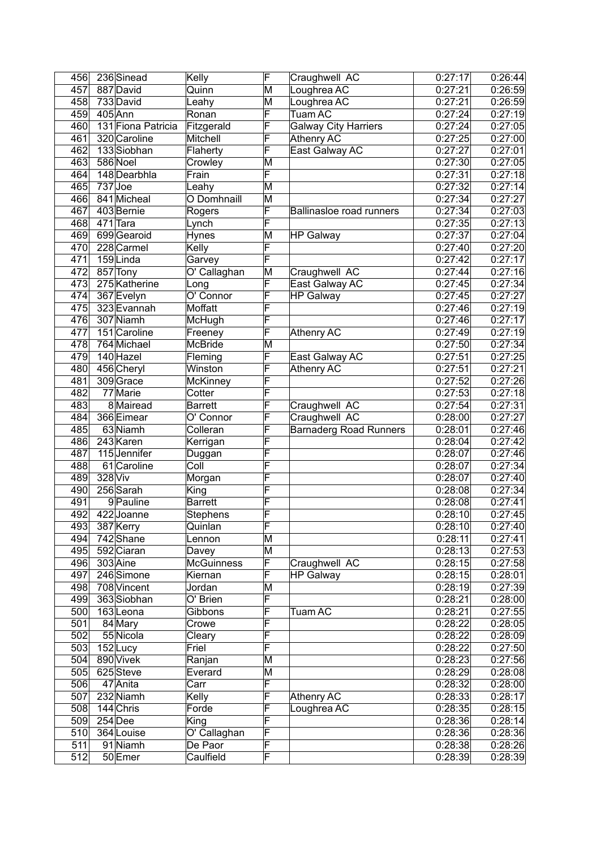| 456              |           | 236 Sinead         | Kelly                    | F                       | Craughwell AC                   | 0:27:17              | 0:26:44 |
|------------------|-----------|--------------------|--------------------------|-------------------------|---------------------------------|----------------------|---------|
| 457              |           | 887 David          | Quinn                    | M                       | Loughrea AC                     | 0:27:21              | 0:26:59 |
| 458              |           | 733 David          | Leahy                    | M                       | Loughrea AC                     | 0:27:21              | 0:26:59 |
| 459              |           | 405 Ann            | Ronan                    | F                       | Tuam AC                         | 0:27:24              | 0:27:19 |
| 460              |           | 131 Fiona Patricia |                          | F                       |                                 | 0:27:24              | 0:27:05 |
|                  |           |                    | Fitzgerald               |                         | <b>Galway City Harriers</b>     |                      | 0:27:00 |
| 461              |           | 320 Caroline       | Mitchell                 | F                       | Athenry AC                      | 0:27:25              |         |
| 462              |           | 133 Siobhan        | Flaherty                 | F                       | East Galway AC                  | 0:27:27              | 0:27:01 |
| 463              |           | 586 Noel           | Crowley                  | M                       |                                 | 0:27:30              | 0:27:05 |
| 464              |           | 148 Dearbhla       | Frain                    | F                       |                                 | 0:27:31              | 0:27:18 |
| 465              | $737$ Joe |                    | Leahy                    | M                       |                                 | 0:27:32              | 0:27:14 |
| 466              |           | 841 Micheal        | O Domhnaill              | M                       |                                 | 0:27:34              | 0:27:27 |
| 467              |           | 403 Bernie         | Rogers                   | F                       | <b>Ballinasloe road runners</b> | $\overline{0:}27:34$ | 0:27:03 |
| 468              |           | 471 Tara           | Lynch                    | F                       |                                 | 0:27:35              | 0:27:13 |
| 469              |           | 699 Gearoid        | Hynes                    | M                       | <b>HP Galway</b>                | 0:27:37              | 0:27:04 |
| 470              |           | 228 Carmel         | Kelly                    | F                       |                                 | 0:27:40              | 0:27:20 |
| 471              |           | 159Linda           | Garvey                   | F                       |                                 | 0:27:42              | 0:27:17 |
| 472              |           | 857 Tony           | O' Callaghan             | M                       | Craughwell AC                   | 0:27:44              | 0:27:16 |
| 473              |           | 275 Katherine      | Long                     | F                       | East Galway AC                  | 0:27:45              | 0:27:34 |
| 474              |           | 367 Evelyn         | O' Connor                | F                       | <b>HP Galway</b>                | 0:27:45              | 0:27:27 |
| 475              |           | 323 Evannah        | Moffatt                  | F                       |                                 | 0:27:46              | 0:27:19 |
| 476              |           | 307 Niamh          | McHugh                   | F                       |                                 | 0:27:46              | 0:27:17 |
| 477              |           | 151 Caroline       | Freeney                  | F                       | Athenry AC                      | 0:27:49              | 0:27:19 |
| 478              |           | 764 Michael        | <b>McBride</b>           | M                       |                                 | 0:27:50              | 0:27:34 |
| 479              |           | 140 Hazel          | Fleming                  | F                       | East Galway AC                  | 0:27:51              | 0:27:25 |
| 480              |           | 456 Cheryl         | Winston                  | F                       | <b>Athenry AC</b>               | 0:27:51              | 0:27:21 |
| 481              |           | 309 Grace          | McKinney                 | F                       |                                 | 0:27:52              | 0:27:26 |
| 482              |           | 77 Marie           | Cotter                   | F                       |                                 | 0:27:53              | 0:27:18 |
| 483              |           | 8 Mairead          | <b>Barrett</b>           | F                       | Craughwell AC                   | 0:27:54              | 0:27:31 |
| 484              |           | 366 Eimear         | O' Connor                | F                       | Craughwell AC                   | 0:28:00              | 0:27:27 |
| 485              |           | 63 Niamh           | Colleran                 | F                       | <b>Barnaderg Road Runners</b>   | 0:28:01              | 0:27:46 |
| 486              |           | 243 Karen          | Kerrigan                 | F                       |                                 | 0:28:04              | 0:27:42 |
|                  |           | 115 Jennifer       |                          | F                       |                                 |                      | 0:27:46 |
| 487              |           |                    | Duggan                   |                         |                                 | 0:28:07              |         |
| 488              |           | 61 Caroline        | $\overline{\text{Coll}}$ | F                       |                                 | 0:28:07              | 0:27:34 |
| 489              | 328 Viv   |                    | Morgan                   | F                       |                                 | 0:28:07              | 0:27:40 |
| 490              |           | 256 Sarah          | King                     | F                       |                                 | 0:28:08              | 0:27:34 |
| 491              |           | 9 Pauline          | <b>Barrett</b>           | F                       |                                 | 0:28:08              | 0:27:41 |
| 492              |           | 422 Joanne         | Stephens                 | F                       |                                 | 0:28:10              | 0:27:45 |
| 493              |           | 387 Kerry          | Quinlan                  | F                       |                                 | 0:28:10              | 0:27:40 |
| 494              |           | 742 Shane          | Lennon                   | $\overline{\mathsf{M}}$ |                                 | 0:28:11              | 0:27:41 |
| 495              |           | 592 Ciaran         | Davey                    | $\overline{\mathsf{M}}$ |                                 | 0:28:13              | 0:27:53 |
| 496              |           | 303 Aine           | <b>McGuinness</b>        | F                       | Craughwell AC                   | 0:28:15              | 0:27:58 |
| 497              |           | 246 Simone         | Kiernan                  | F                       | <b>HP Galway</b>                | 0:28:15              | 0:28:01 |
|                  |           | 498 708 Vincent    | Jordan                   | M                       |                                 | 0:28:19              | 0:27:39 |
| 499              |           | 363 Siobhan        | O' Brien                 | $\overline{\mathsf{F}}$ |                                 | 0:28:21              | 0:28:00 |
| 500              |           | 163Leona           | Gibbons                  | F                       | Tuam AC                         | 0:28:21              | 0:27:55 |
| 501              |           | 84 Mary            | Crowe                    | $\overline{\mathsf{F}}$ |                                 | 0:28:22              | 0:28:05 |
| 502              |           | 55 Nicola          | Cleary                   | $\overline{\mathsf{F}}$ |                                 | 0:28:22              | 0:28:09 |
| 503              |           | 152Lucy            | Friel                    | F                       |                                 | 0:28:22              | 0:27:50 |
| 504              |           | 890 Vivek          | Ranjan                   | M                       |                                 | 0:28:23              | 0:27:56 |
| 505              |           | 625Steve           | Everard                  | M                       |                                 | 0:28:29              | 0:28:08 |
| 506              |           | 47 Anita           | Carr                     | F                       |                                 | 0:28:32              | 0:28:00 |
| 507              |           | 232 Niamh          | Kelly                    | F                       | <b>Athenry AC</b>               | 0:28:33              | 0:28:17 |
| 508              |           | 144 Chris          | Forde                    | F                       | Loughrea AC                     | 0:28:35              | 0:28:15 |
| 509              |           | 254 Dee            | King                     | F                       |                                 | 0:28:36              | 0:28:14 |
|                  |           |                    | O' Callaghan             | F                       |                                 | 0:28:36              |         |
| 510              |           | 364 Louise         |                          |                         |                                 |                      | 0:28:36 |
| 511              |           | 91 Niamh           | De Paor                  | F                       |                                 | 0:28:38              | 0:28:26 |
| $\overline{512}$ |           | 50 Emer            | Caulfield                | $\overline{\mathsf{F}}$ |                                 | 0:28:39              | 0:28:39 |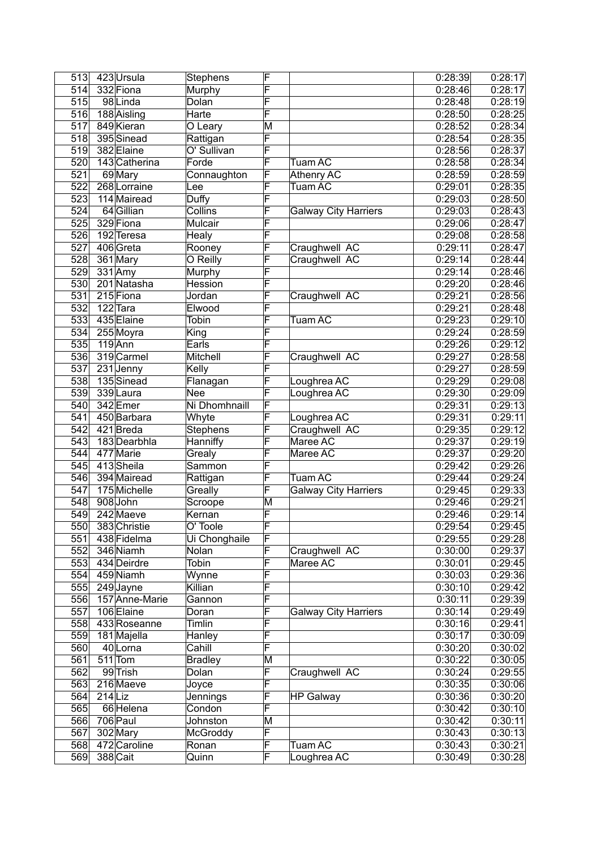| 513              | 423 Ursula             | <b>Stephens</b> | F                       |                             | 0:28:39              | 0:28:17 |
|------------------|------------------------|-----------------|-------------------------|-----------------------------|----------------------|---------|
| 514              | 332 Fiona              | Murphy          | F                       |                             | 0:28:46              | 0:28:17 |
| 515              | 98Linda                | Dolan           | F                       |                             | 0:28:48              | 0:28:19 |
| 516              | 188 Aisling            | Harte           | F                       |                             | $\overline{0.28:50}$ | 0:28:25 |
| 517              | 849 Kieran             | O Leary         | M                       |                             | 0:28:52              | 0:28:34 |
| 518              | 395 Sinead             | Rattigan        | $\overline{\mathsf{F}}$ |                             | 0:28:54              | 0:28:35 |
| 519              | 382 Elaine             | O' Sullivan     | F                       |                             | 0.28:56              | 0:28:37 |
| 520              | 143 Catherina          | Forde           | F                       | Tuam AC                     | 0.28:58              | 0:28:34 |
| $\overline{521}$ | 69 Mary                | Connaughton     | F                       | Athenry AC                  | 0:28:59              | 0:28:59 |
| $\overline{522}$ | 268 Lorraine           | Lee             | F                       | Tuam AC                     | 0:29:01              | 0:28:35 |
| 523              | 114 Mairead            | <b>Duffy</b>    | F                       |                             | 0:29:03              | 0:28:50 |
| 524              | 64 Gillian             | Collins         | F                       | <b>Galway City Harriers</b> | 0:29:03              | 0:28:43 |
| 525              | 329 Fiona              | Mulcair         | F                       |                             | 0:29:06              | 0:28:47 |
| 526              | 192 Teresa             | Healy           | F                       |                             | 0:29:08              | 0:28:58 |
| $\overline{527}$ | 406 Greta              | Rooney          | F                       | Craughwell AC               | 0:29:11              | 0:28:47 |
| 528              | 361 Mary               | O Reilly        | F                       | Craughwell AC               | 0:29:14              | 0:28:44 |
| 529              | $331$ Amy              | Murphy          | F                       |                             | 0:29:14              | 0:28:46 |
| 530              | 201 Natasha            | Hession         | F                       |                             | 0:29:20              | 0:28:46 |
| 531              | 215 Fiona              | Jordan          | F                       | Craughwell AC               | 0:29:21              | 0:28:56 |
| 532              | 122 Tara               | Elwood          | F                       |                             | 0:29:21              | 0:28:48 |
| 533              | 435 Elaine             | Tobin           | F                       | <b>Tuam AC</b>              | 0:29:23              | 0:29:10 |
| 534              | 255 Moyra              | King            | F                       |                             | 0:29:24              | 0:28:59 |
| 535              | $119$ Ann              | Earls           | F                       |                             | 0:29:26              | 0:29:12 |
| $\overline{536}$ | 319 Carmel             | Mitchell        | F                       | Craughwell AC               | 0:29:27              | 0:28:58 |
| $\overline{537}$ | $\overline{23}1$ Jenny | Kelly           | F                       |                             | 0:29:27              | 0:28:59 |
| 538              | 135 Sinead             | Flanagan        | F                       | Loughrea AC                 | 0:29:29              | 0:29:08 |
| 539              | 339Laura               | <b>Nee</b>      | F                       | Loughrea AC                 | 0:29:30              | 0:29:09 |
| 540              | 342 Emer               | Ni Dhomhnaill   | F                       |                             | 0:29:31              | 0:29:13 |
| 541              | 450 Barbara            | Whyte           | F                       | Loughrea AC                 | 0:29:31              | 0:29:11 |
| 542              | 421 Breda              | <b>Stephens</b> | F                       | Craughwell AC               | 0:29:35              | 0:29:12 |
| 543              | 183 Dearbhla           | Hanniffy        | F                       | Maree AC                    | 0:29:37              | 0:29:19 |
| 544              | 477 Marie              | Grealy          | F                       | Maree AC                    | 0:29:37              | 0:29:20 |
| 545              | 413 Sheila             | Sammon          | F                       |                             | 0:29:42              | 0:29:26 |
| 546              | 394 Mairead            | Rattigan        | $\overline{\mathsf{F}}$ | <b>Tuam AC</b>              | 0:29:44              | 0:29:24 |
| 547              | 175 Michelle           | Greally         | F                       | <b>Galway City Harriers</b> | 0:29:45              | 0:29:33 |
| 548              | 908 John               | Scroope         | M                       |                             | 0.29:46              | 0:29:21 |
| 549              | 242 Maeve              | Kernan          | $\overline{\mathsf{F}}$ |                             | 0:29:46              | 0:29:14 |
| 550              | 383 Christie           | O' Toole        | F                       |                             | 0:29:54              | 0:29:45 |
| 551              | 438 Fidelma            | Ui Chonghaile   | $\overline{\mathsf{F}}$ |                             | 0:29:55              | 0:29:28 |
| 552              | 346 Niamh              | Nolan           | $\overline{\mathsf{F}}$ | Craughwell AC               | 0:30:00              | 0:29:37 |
| 553              | 434 Deirdre            | Tobin           | F                       | Maree AC                    | 0:30:01              | 0:29:45 |
| 554              | 459 Niamh              | Wynne           | F                       |                             | 0:30:03              | 0:29:36 |
| 555              | 249 Jayne              | Killian         | F                       |                             | 0:30:10              | 0:29:42 |
| 556              | 157 Anne-Marie         | Gannon          | F                       |                             | 0:30:11              | 0:29:39 |
| 557              | 106 Elaine             | Doran           | F                       | <b>Galway City Harriers</b> | 0:30:14              | 0:29:49 |
| 558              | 433 Roseanne           | Timlin          | F                       |                             | 0:30:16              | 0:29:41 |
| 559              | 181 Majella            | Hanley          | F                       |                             | 0:30:17              | 0:30:09 |
| 560              | 40 Lorna               | Cahill          | F                       |                             | 0:30:20              | 0:30:02 |
| 561              | $511$ Tom              | <b>Bradley</b>  | M                       |                             | 0:30:22              | 0:30:05 |
| 562              | 99 Trish               | Dolan           | F                       | Craughwell AC               | 0:30:24              | 0:29:55 |
| 563              | 216 Maeve              | Joyce           | F                       |                             | 0:30:35              | 0:30:06 |
| 564              | $214$ Liz              | Jennings        | F                       | <b>HP Galway</b>            | 0:30:36              | 0:30:20 |
| 565              | 66 Helena              | Condon          | F                       |                             | 0:30:42              | 0:30:10 |
| 566              | 706 Paul               | Johnston        | M                       |                             | 0:30:42              | 0:30:11 |
| 567              | 302 Mary               | <b>McGroddy</b> | F                       |                             | 0:30:43              | 0:30:13 |
| 568              | 472 Caroline           | Ronan           | F                       | Tuam AC                     | 0:30:43              | 0:30:21 |
| 569              | 388 Cait               | Quinn           | F                       | Loughrea AC                 | 0:30:49              | 0:30:28 |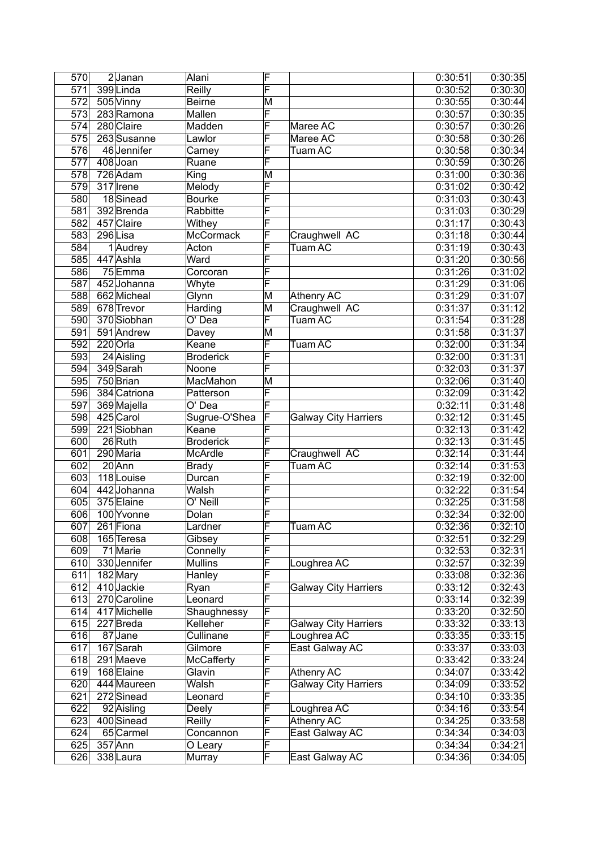| 570              | 2Janan       | Alani                 | F                       |                             | 0:30:51 | $\overline{0:}30:35$ |
|------------------|--------------|-----------------------|-------------------------|-----------------------------|---------|----------------------|
| $\overline{571}$ | 399 Linda    | Reilly                | F                       |                             | 0:30:52 | 0:30:30              |
| 572              | 505 Vinny    | Beirne                | M                       |                             | 0:30:55 | 0:30:44              |
| 573              | 283 Ramona   | Mallen                | $\overline{\mathsf{F}}$ |                             | 0:30:57 | 0:30:35              |
| 574              | 280 Claire   | Madden                | F                       | Maree AC                    | 0:30:57 | 0:30:26              |
| 575              | 263 Susanne  | Lawlor                | F                       | Maree AC                    | 0:30:58 | 0:30:26              |
| $\overline{576}$ | 46 Jennifer  | Carney                | F                       | Tuam AC                     | 0:30:58 | 0:30:34              |
| $\overline{577}$ | 408 Joan     | Ruane                 | F                       |                             | 0:30:59 | 0:30:26              |
| $\overline{578}$ | 726 Adam     | King                  | M                       |                             | 0:31:00 | 0:30:36              |
| $\overline{579}$ | 317 Irene    | Melody                | F                       |                             | 0:31:02 | 0:30:42              |
| 580              | 18 Sinead    | <b>Bourke</b>         | F                       |                             | 0:31:03 | 0:30:43              |
| 581              | 392 Brenda   | Rabbitte              | F                       |                             | 0:31:03 | 0:30:29              |
| 582              | 457 Claire   | Withey                | F                       |                             | 0:31:17 | 0:30:43              |
| 583              | 296 Lisa     | McCormack             | F                       | Craughwell AC               | 0:31:18 | 0:30:44              |
| 584              | 1 Audrey     | Acton                 | F                       | <b>Tuam AC</b>              | 0:31:19 | 0:30:43              |
| 585              | 447 Ashla    | Ward                  | F                       |                             | 0:31:20 | 0:30:56              |
| 586              | $75$ Emma    | Corcoran              | F                       |                             | 0:31:26 | 0:31:02              |
| 587              | 452 Johanna  | Whyte                 | F                       |                             | 0:31:29 | 0:31:06              |
| 588              | 662 Micheal  | Glynn                 | M                       | <b>Athenry AC</b>           | 0:31:29 | 0:31:07              |
| 589              | 678 Trevor   | Harding               | M                       | Craughwell AC               | 0:31:37 | 0:31:12              |
| 590              | 370 Siobhan  | $\overline{O}$ ' Dea  | F                       | <b>Tuam AC</b>              | 0:31:54 | 0:31:28              |
| 591              | 591 Andrew   | Davey                 | M                       |                             | 0:31:58 | 0:31:37              |
| 592              | 220 Orla     | Keane                 | F                       | Tuam AC                     | 0:32:00 | 0:31:34              |
| 593              | 24 Aisling   | <b>Broderick</b>      | F                       |                             | 0:32:00 | 0:31:31              |
| 594              | 349 Sarah    | Noone                 | F                       |                             | 0:32:03 | 0:31:37              |
| 595              | 750 Brian    | MacMahon              | M                       |                             | 0:32:06 | 0:31:40              |
| 596              | 384 Catriona | Patterson             | F                       |                             | 0:32:09 | 0:31:42              |
| 597              | 369 Majella  | $\overline{O}$ ' Dea  | $\overline{\mathsf{F}}$ |                             | 0:32:11 | 0:31:48              |
| 598              | 425 Carol    | Sugrue-O'Shea         | F                       | <b>Galway City Harriers</b> | 0:32:12 | 0:31:45              |
| 599              | 221 Siobhan  | Keane                 | F                       |                             | 0:32:13 | 0:31:42              |
| $\overline{600}$ | 26 Ruth      | <b>Broderick</b>      | F                       |                             | 0:32:13 | 0:31:45              |
| 601              | 290 Maria    | McArdle               | F                       | Craughwell AC               | 0:32:14 | 0:31:44              |
| 602              | $20$ Ann     | <b>Brady</b>          | F                       | Tuam AC                     | 0:32:14 | 0:31:53              |
| 603              | 118 Louise   | Durcan                | F                       |                             | 0:32:19 | 0:32:00              |
| 604              | 442 Johanna  | Walsh                 | F                       |                             | 0:32:22 | 0:31:54              |
| 605              | 375 Elaine   | $\overline{O'}$ Neill | F                       |                             | 0:32:25 | 0:31:58              |
| 606              | 100 Yvonne   | Dolan                 | F                       |                             | 0:32:34 | 0:32:00              |
| 607              | $261$ Fiona  | Lardner               | F                       | Tuam AC                     | 0:32:36 | 0:32:10              |
| 608              | 165 Teresa   | Gibsey                | F                       |                             | 0:32:51 | 0:32:29              |
| 609              | 71 Marie     | Connelly              | F                       |                             | 0:32:53 | 0:32:31              |
| 610              | 330 Jennifer | <b>Mullins</b>        | F                       | Loughrea AC                 | 0:32:57 | 0:32:39              |
| 611              | 182 Mary     | Hanley                | F                       |                             | 0:33:08 | 0:32:36              |
| 612              | 410 Jackie   | Ryan                  | $\overline{\mathsf{F}}$ | <b>Galway City Harriers</b> | 0:33:12 | 0:32:43              |
| 613              | 270 Caroline | Leonard               | $\overline{\mathsf{F}}$ |                             | 0:33:14 | 0:32:39              |
| 614              | 417 Michelle | Shaughnessy           | F                       |                             | 0:33:20 | 0:32:50              |
| 615              | 227 Breda    | Kelleher              | F                       | <b>Galway City Harriers</b> | 0:33:32 | 0:33:13              |
| 616              | 87 Jane      | Cullinane             | F                       | Loughrea AC                 | 0:33:35 | 0:33:15              |
| 617              | 167 Sarah    | Gilmore               | F                       | East Galway AC              | 0:33:37 | 0:33:03              |
| 618              | 291 Maeve    | McCafferty            | F                       |                             | 0:33:42 | 0:33:24              |
| 619              | 168 Elaine   | Glavin                | $\overline{\mathsf{F}}$ | Athenry AC                  | 0:34:07 | 0:33:42              |
| 620              | 444 Maureen  | Walsh                 | F                       | <b>Galway City Harriers</b> | 0:34:09 | 0:33:52              |
| 621              | 272 Sinead   | Leonard               | F                       |                             | 0:34:10 | 0:33:35              |
| 622              | 92 Aisling   | Deely                 | F                       | Loughrea AC                 | 0:34:16 | 0:33:54              |
| 623              | 400 Sinead   | Reilly                | F                       | <b>Athenry AC</b>           | 0:34:25 | 0:33:58              |
| 624              | 65 Carmel    | Concannon             | F                       | East Galway AC              | 0:34:34 | 0:34:03              |
| 625              | $357$ Ann    | O Leary               | F                       |                             | 0:34:34 | 0:34:21              |
| 626              | 338 Laura    | Murray                | F                       | East Galway AC              | 0:34:36 | 0:34:05              |